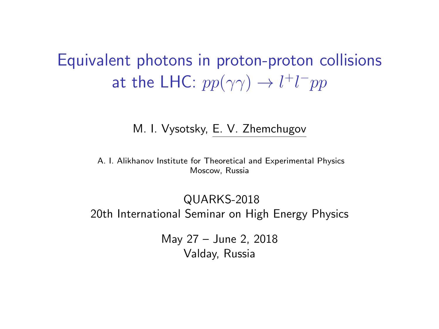# <span id="page-0-0"></span>Equivalent photons in proton-proton collisions at the LHC:  $pp(\gamma\gamma) \rightarrow l^+l^-pp$

#### M. I. Vysotsky, E. V. Zhemchugov

A. I. Alikhanov Institute for Theoretical and Experimental Physics Moscow, Russia

QUARKS-2018 20th International Seminar on High Energy Physics

> May 27 – June 2, 2018 Valday, Russia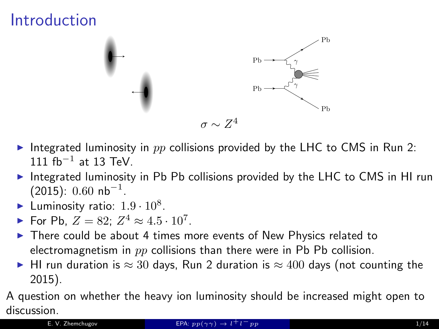# Introduction



- Integrated luminosity in  $pp$  collisions provided by the LHC to CMS in Run 2:  $111 \text{ fb}^{-1}$  at 13 TeV.
- Integrated luminosity in Pb Pb collisions provided by the LHC to CMS in HI run  $(2015): 0.60$  nb $^{-1}$ .
- Euminosity ratio:  $1.9 \cdot 10^8$ .
- ► For Pb,  $Z = 82$ ;  $Z^4 \approx 4.5 \cdot 10^7$ .
- $\triangleright$  There could be about 4 times more events of New Physics related to electromagnetism in  $pp$  collisions than there were in Pb Pb collision.
- ► HI run duration is  $\approx 30$  days, Run 2 duration is  $\approx 400$  days (not counting the 2015).

A question on whether the heavy ion luminosity should be increased might open to discussion.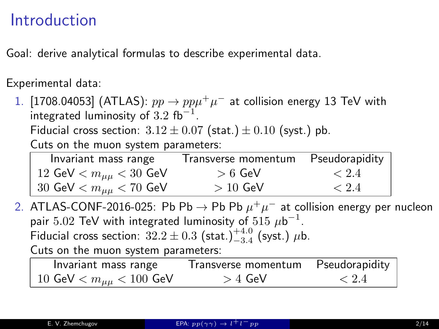# Introduction

Goal: derive analytical formulas to describe experimental data.

Experimental data:

1. [1708.04053] (ATLAS):  $pp \to pp\mu^+\mu^-$  at collision energy 13 TeV with integrated luminosity of  $3.2 \; \mathrm{fb}^{-1}.$ 

Fiducial cross section:  $3.12 \pm 0.07$  (stat.)  $\pm 0.10$  (syst.) pb.

Cuts on the muon system parameters:

| Invariant mass range           | Transverse momentum | Pseudorapidity |
|--------------------------------|---------------------|----------------|
| 12 GeV $< m_{\mu\mu} < 30$ GeV | $>6$ GeV            | $\leq 2.4$     |
| 30 GeV $< m_{\mu\mu} < 70$ GeV | $>10$ GeV           | < 2.4          |

2. ATLAS-CONF-2016-025: Pb Pb  $\rightarrow$  Pb Pb  $\mu^+\mu^-$  at collision energy per nucleon pair  $5.02$  TeV with integrated luminosity of  $515~\mu\text{b}^{-1}.$ Fiducial cross section:  $32.2 \pm 0.3$  (stat.) $^{+4.0}_{-3.4}$  (syst.)  $\mu$ b. Cuts on the muon system parameters:

Invariant mass range Transverse momentum Pseudorapidity 10 GeV  $< m_{\mu\mu} < 100$  GeV  $> 4$  GeV  $< 2.4$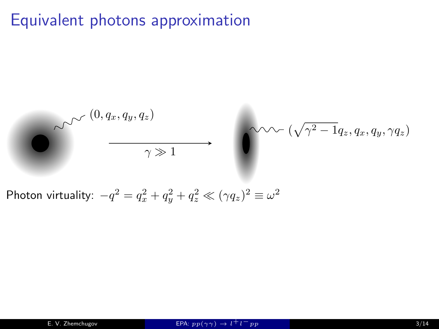# Equivalent photons approximation

$$
\bigotimes_{\gamma \gg 1} \bigotimes_{\gamma \gg 1} (0, q_x, q_y, q_z)
$$
\n
$$
\longrightarrow \bigotimes_{\gamma \gg 1} \bigotimes_{\gamma \gg 1} (\sqrt{\gamma^2 - 1} q_z, q_x, q_y, \gamma q_z)
$$
\nPhoton virtuality:  $-a^2 - a^2 + a^2 + a^2 \ll (\alpha a)^2 = \alpha^2$ 

Photon virtuality:  $-q^2 = q_x^2 + q_y^2 + q_z^2 \ll (\gamma q_z)^2 \equiv \omega$ 2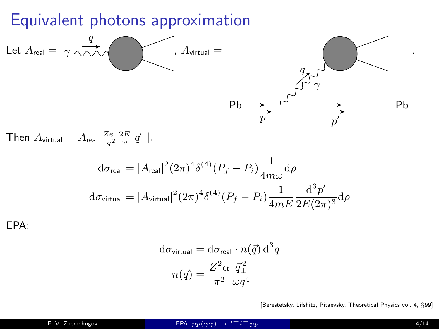### Equivalent photons approximation



Then  $A_{\sf virtual} = A_{\sf real} \frac{Ze}{-q^2} \frac{2E}{\omega} |\vec{q}_{\perp}|.$ 

$$
d\sigma_{\text{real}} = |A_{\text{real}}|^2 (2\pi)^4 \delta^{(4)} (P_f - P_i) \frac{1}{4m\omega} d\rho
$$
  

$$
d\sigma_{\text{virtual}} = |A_{\text{virtual}}|^2 (2\pi)^4 \delta^{(4)} (P_f - P_i) \frac{1}{4mE} \frac{d^3 p'}{2E(2\pi)^3} d\rho
$$

EPA:

$$
d\sigma_{\text{virtual}} = d\sigma_{\text{real}} \cdot n(\vec{q}) d^3 q
$$

$$
n(\vec{q}) = \frac{Z^2 \alpha}{\pi^2} \frac{\vec{q}_{\perp}^2}{\omega q^4}
$$

[Berestetsky, Lifshitz, Pitaevsky, Theoretical Physics vol. 4, §99]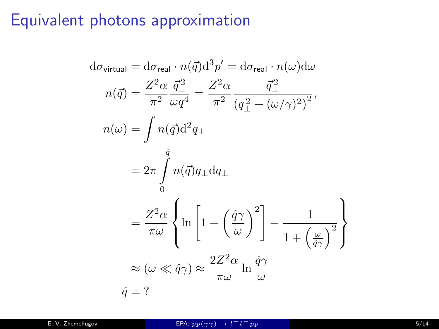# Equivalent photons approximation

$$
d\sigma_{\text{virtual}} = d\sigma_{\text{real}} \cdot n(\vec{q}) d^3 p' = d\sigma_{\text{real}} \cdot n(\omega) d\omega
$$
  
\n
$$
n(\vec{q}) = \frac{Z^2 \alpha}{\pi^2} \frac{\vec{q}_{\perp}^2}{\omega q^4} = \frac{Z^2 \alpha}{\pi^2} \frac{\vec{q}_{\perp}^2}{(q_{\perp}^2 + (\omega/\gamma)^2)^2},
$$
  
\n
$$
n(\omega) = \int n(\vec{q}) d^2 q_{\perp}
$$
  
\n
$$
= 2\pi \int_0^{\hat{q}} n(\vec{q}) q_{\perp} dq_{\perp}
$$
  
\n
$$
= \frac{Z^2 \alpha}{\pi \omega} \left\{ \ln \left[ 1 + \left( \frac{\hat{q}\gamma}{\omega} \right)^2 \right] - \frac{1}{1 + \left( \frac{\omega}{\hat{q}\gamma} \right)^2} \right\}
$$
  
\n
$$
\approx (\omega \ll \hat{q}\gamma) \approx \frac{2Z^2 \alpha}{\pi \omega} \ln \frac{\hat{q}\gamma}{\omega}
$$
  
\n
$$
\hat{q} = ?
$$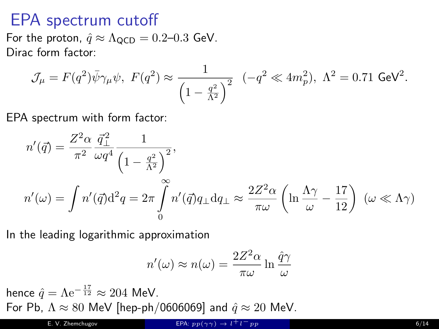### EPA spectrum cutoff

For the proton,  $\hat{q} \approx \Lambda_{\text{QCD}} = 0.2{\text -}0.3$  GeV. Dirac form factor:

$$
\mathcal{J}_{\mu} = F(q^2)\bar{\psi}\gamma_{\mu}\psi, \ F(q^2) \approx \frac{1}{\left(1 - \frac{q^2}{\Lambda^2}\right)^2} \ \ (-q^2 \ll 4m_p^2), \ \Lambda^2 = 0.71 \text{ GeV}^2.
$$

EPA spectrum with form factor:

$$
n'(\vec{q}) = \frac{Z^2 \alpha}{\pi^2} \frac{\vec{q}_{\perp}^2}{\omega q^4} \frac{1}{\left(1 - \frac{q^2}{\Lambda^2}\right)^2},
$$
  

$$
n'(\omega) = \int n'(\vec{q}) d^2 q = 2\pi \int_0^{\infty} n'(\vec{q}) q_{\perp} dq_{\perp} \approx \frac{2Z^2 \alpha}{\pi \omega} \left(\ln \frac{\Lambda \gamma}{\omega} - \frac{17}{12}\right) (\omega \ll \Lambda \gamma)
$$

In the leading logarithmic approximation

$$
n'(\omega) \approx n(\omega) = \frac{2Z^2\alpha}{\pi\omega} \ln \frac{\hat{q}\gamma}{\omega}
$$

hence  $\hat{q} = \Lambda e^{-\frac{17}{12}} \approx 204$  MeV. For Pb,  $\Lambda \approx 80$  MeV [hep-ph/0606069] and  $\hat{q} \approx 20$  MeV.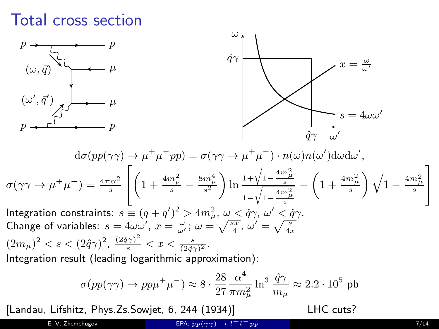### Total cross section



$$
\sigma(pp(\gamma\gamma)\to pp\mu^+\mu^-)\approx 8\cdot\frac{28}{27}\frac{\alpha^4}{\pi m_\mu^2}\ln^3\frac{\hat{q}\gamma}{m_\mu}\approx 2.2\cdot 10^5\,\,\mathrm{pb}
$$

[Landau, Lifshitz, Phys.Zs.Sowjet, 6, 244 (1934)] LHC cuts?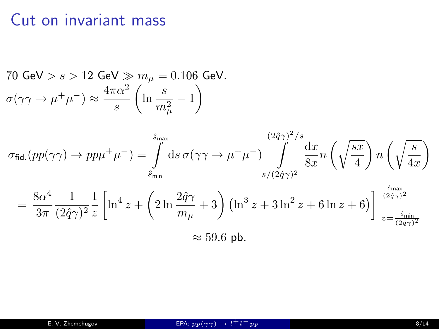# Cut on invariant mass

70 GeV > s > 12 GeV 
$$
\gg m_{\mu} = 0.106
$$
 GeV.  
\n
$$
\sigma(\gamma \gamma \to \mu^+ \mu^-) \approx \frac{4\pi \alpha^2}{s} \left( \ln \frac{s}{m_{\mu}^2} - 1 \right)
$$

$$
\sigma_{\text{fid.}}(pp(\gamma\gamma) \to pp\mu^{+}\mu^{-}) = \int_{\tilde{s}_{\text{min}}}^{\tilde{s}_{\text{max}}} ds \,\sigma(\gamma\gamma \to \mu^{+}\mu^{-}) \int_{s/(2\hat{q}\gamma)^{2}}^{(2\hat{q}\gamma)^{2}/s} \frac{dx}{8x} n \left(\sqrt{\frac{sx}{4}}\right) n \left(\sqrt{\frac{s}{4x}}\right)
$$

$$
= \frac{8\alpha^{4}}{3\pi} \frac{1}{(2\hat{q}\gamma)^{2}} \frac{1}{z} \left[ \ln^{4} z + \left(2\ln\frac{2\hat{q}\gamma}{m_{\mu}} + 3\right) \left(\ln^{3} z + 3\ln^{2} z + 6\ln z + 6\right) \right] \Big|_{z = \frac{\tilde{s}_{\text{min}}}{(2\hat{q}\gamma)^{2}}}^{\frac{\tilde{s}_{\text{max}}}{(2\hat{q}\gamma)^{2}}}
$$

$$
\approx 59.6 \text{ pb.}
$$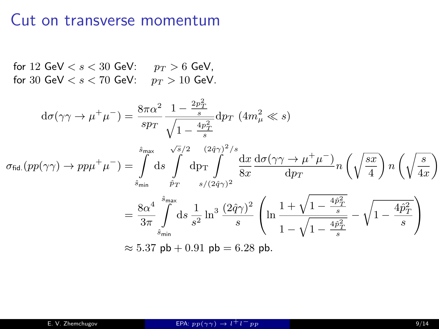#### Cut on transverse momentum

for 12 GeV  $< s < 30$  GeV:  $p_T > 6$  GeV, for 30 GeV  $< s < 70$  GeV:  $p_T > 10$  GeV.

$$
d\sigma(\gamma\gamma \to \mu^{+}\mu^{-}) = \frac{8\pi\alpha^{2}}{sp_{T}} \frac{1 - \frac{2p_{T}^{2}}{s}}{\sqrt{1 - \frac{4p_{T}^{2}}{s}}} dp_{T} \ (4m_{\mu}^{2} \ll s)
$$
  

$$
\sigma_{\text{fid.}}(pp(\gamma\gamma) \to pp\mu^{+}\mu^{-}) = \int_{\tilde{s}_{\text{min}}}^{\tilde{s}_{\text{max}}} \frac{\sqrt{s}/2}{\tilde{p}} \frac{(2\tilde{q}\gamma)^{2}/s}{8\pi} \frac{dx}{ds} \frac{d\sigma(\gamma\gamma \to \mu^{+}\mu^{-})}{dp_{T}} n \left(\sqrt{\frac{sx}{4}}\right) n \left(\sqrt{\frac{s}{4x}}\right)
$$

$$
= \frac{8\alpha^{4}}{3\pi} \int_{\tilde{s}_{\text{min}}}^{\tilde{s}_{\text{max}}} ds \frac{1}{s^{2}} \ln^{3} \frac{(2\tilde{q}\gamma)^{2}}{s} \left(\ln \frac{1 + \sqrt{1 - \frac{4\tilde{p}_{T}^{2}}{s}}}{1 - \sqrt{1 - \frac{4\tilde{p}_{T}^{2}}{s}}}\right)
$$

$$
\approx 5.37 \text{ pb} + 0.91 \text{ pb} = 6.28 \text{ pb.}
$$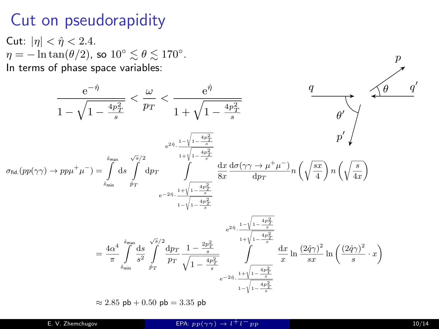#### Cut on pseudorapidity

Cut:  $|\eta| < \hat{\eta} < 2.4$ .  $\eta = -\ln \tan(\theta/2)$ , so  $10^{\circ} \lesssim \theta \lesssim 170^{\circ}$ . In terms of phase space variables:

$$
\frac{e^{-\hat{\eta}}}{1 - \sqrt{1 - \frac{4p_T^2}{s}}} < \frac{\omega}{p_T} < \frac{e^{\hat{\eta}}}{1 + \sqrt{1 - \frac{4p_T^2}{s}}}
$$
\n
$$
\sigma_{\text{fid.}}(pp(\gamma\gamma) \to pp\mu^+\mu^-) = \int_{\sinh}^{\sinh} ds \int_{\rho_T}^{\sqrt{\pi}/2} dp_T \int_{e^{-2\hat{\eta}} \cdot \frac{1 + \sqrt{1 - \frac{4p_T^2}{s}}}{1 + \sqrt{1 - \frac{4p_T^2}{s}}}} \frac{dx}{8x} \frac{d\sigma(\gamma\gamma \to \mu^+\mu^-)}{dp_T} n \left(\sqrt{\frac{sx}{4}}\right) n \left(\sqrt{\frac{s}{4x}}\right)
$$
\n
$$
= \frac{4\alpha^4}{\pi} \int_{\sinh}^{\sinh} \frac{ds}{p_T} \int_{\rho_T}^{\sqrt{\pi}/2} \frac{dp_T}{p_T} \frac{1 - \frac{4p_T^2}{s}}{1 - \sqrt{1 - \frac{4p_T^2}{s}}}
$$
\n
$$
= \frac{4\alpha^4}{\pi} \int_{\sinh}^{\sinh} \frac{ds}{p_T} \int_{\rho_T}^{\sqrt{\pi}/2} \frac{dp_T}{p_T} \frac{1 - \frac{2p_T^2}{s}}{\sqrt{1 - \frac{4p_T^2}{s}}}} \int_{e^{-2\hat{\eta}} \cdot \frac{1 + \sqrt{1 - \frac{4p_T^2}{s}}}{1 + \sqrt{1 - \frac{4p_T^2}{s}}}} \frac{dx}{x} \ln \frac{(2\hat{q}\gamma)^2}{sx} \ln \left(\frac{(2\hat{q}\gamma)^2}{s} \cdot x\right)
$$
\n
$$
\approx 2.85 \text{ pb} + 0.50 \text{ pb} = 3.35 \text{ pb}
$$

 $\frac{p}{\lambda}$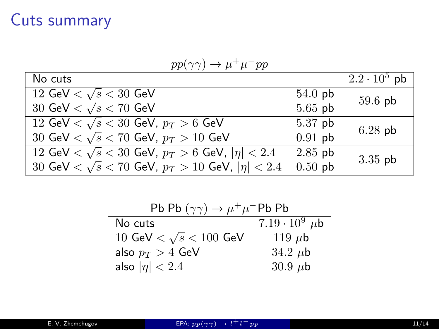#### Cuts summary

| $pp(\gamma \gamma) \rightarrow \mu \gamma \mu \gamma pp$                |           |                     |  |
|-------------------------------------------------------------------------|-----------|---------------------|--|
| No cuts                                                                 |           | $2.2 \cdot 10^5$ pb |  |
| 12 GeV $< \sqrt{s} < 30$ GeV                                            | $54.0$ pb | $59.6$ pb           |  |
| 30 GeV $<$ $\sqrt{s}$ $<$ 70 GeV                                        | $5.65$ pb |                     |  |
| 12 GeV $< \sqrt{s} < 30$ GeV, $p_T > 6$ GeV                             | $5.37$ pb | $6.28$ pb           |  |
| 30 GeV $< \sqrt{s} < 70$ GeV, $p_T > 10$ GeV                            | $0.91$ pb |                     |  |
| 12 GeV $\langle \sqrt{s} \times 30$ GeV, $p_T > 6$ GeV, $ \eta  < 2.4$  | $2.85$ pb |                     |  |
| 30 GeV $\langle \sqrt{s} \times 70$ GeV, $p_T > 10$ GeV, $ \eta  < 2.4$ | $0.50$ pb |                     |  |
|                                                                         |           | $3.35$ pb           |  |

 $pp(\gamma\gamma) \to \mu^+\mu^-pp$ 

| Pb Pb $(\gamma \gamma) \rightarrow \mu^+ \mu^-$ Pb Pb |                           |
|-------------------------------------------------------|---------------------------|
| No cuts                                               | $7.19 \cdot 10^9$ $\mu$ b |
| 10 GeV $< \sqrt{s} < 100$ GeV                         | 119 $\mu$ b               |
| also $p_T > 4$ GeV                                    | 34.2 $\mu$ b              |
| also $ \eta  < 2.4$                                   | $30.9 \mu b$              |
|                                                       |                           |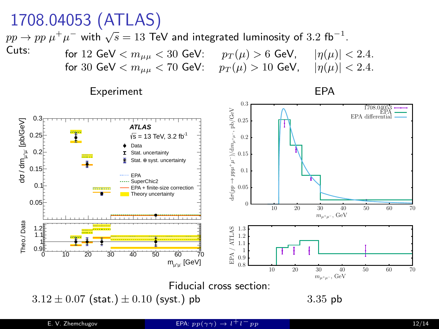# 1708.04053 (ATLAS)

 $pp \rightarrow pp \mu^+ \mu^-$  with  $\sqrt{s} = 13$  TeV and integrated luminosity of 3.2 fb<sup>-1</sup>.



Experiment EPA





 $3.12 \pm 0.07$  (stat.)  $\pm 0.10$  (syst.) pb 3.35 pb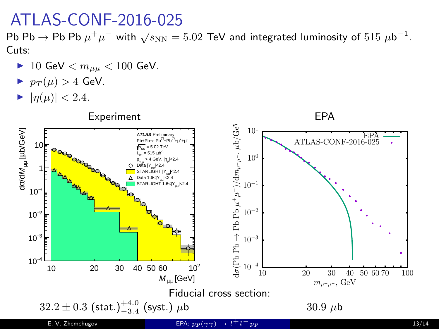#### ATLAS-CONF-2016-025

Pb Pb  $\rightarrow$  Pb Pb  $\mu^+\mu^-$  with  $\sqrt{s_\text{NN}} = 5.02$  TeV and integrated luminosity of  $515 \ \mu b^{-1}$ . Cuts:

- ▶ 10 GeV  $< m_{\mu\mu} < 100$  GeV.
- $p_T(\mu) > 4$  GeV.
- $\blacktriangleright$   $|\eta(\mu)| < 2.4$ .